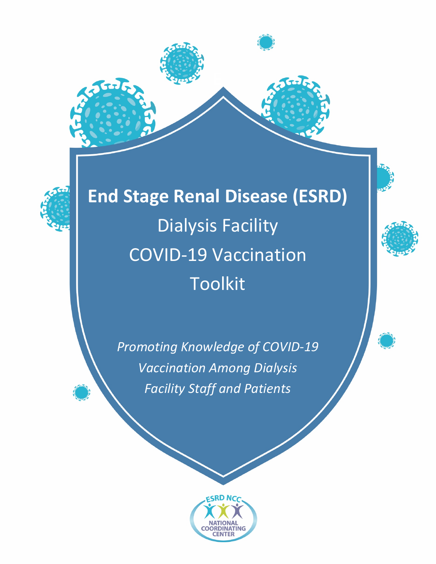



**End Stage Renal Disease (ESRD)**  Dialysis Facility COVID-19 Vaccination Toolkit

> *Promoting Knowledge of COVID-19 Vaccination Among Dialysis Facility Staff and Patients*



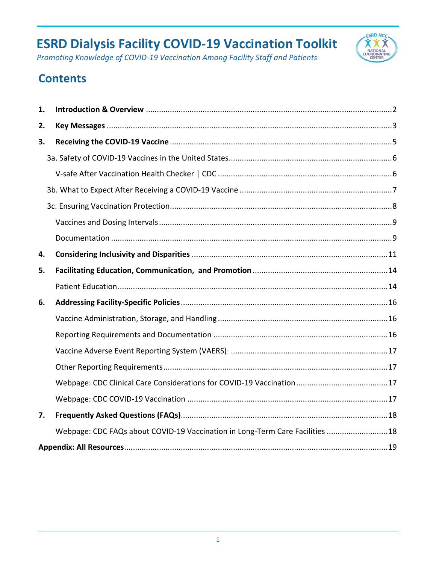

*Promoting Knowledge of COVID-19 Vaccination Among Facility Staff and Patients*

## **Contents**

| 1. |                                                                              |  |  |
|----|------------------------------------------------------------------------------|--|--|
| 2. |                                                                              |  |  |
| 3. |                                                                              |  |  |
|    |                                                                              |  |  |
|    |                                                                              |  |  |
|    |                                                                              |  |  |
|    |                                                                              |  |  |
|    |                                                                              |  |  |
|    |                                                                              |  |  |
| 4. |                                                                              |  |  |
| 5. |                                                                              |  |  |
|    |                                                                              |  |  |
| 6. |                                                                              |  |  |
|    |                                                                              |  |  |
|    |                                                                              |  |  |
|    |                                                                              |  |  |
|    |                                                                              |  |  |
|    |                                                                              |  |  |
|    |                                                                              |  |  |
| 7. |                                                                              |  |  |
|    | Webpage: CDC FAQs about COVID-19 Vaccination in Long-Term Care Facilities 18 |  |  |
|    |                                                                              |  |  |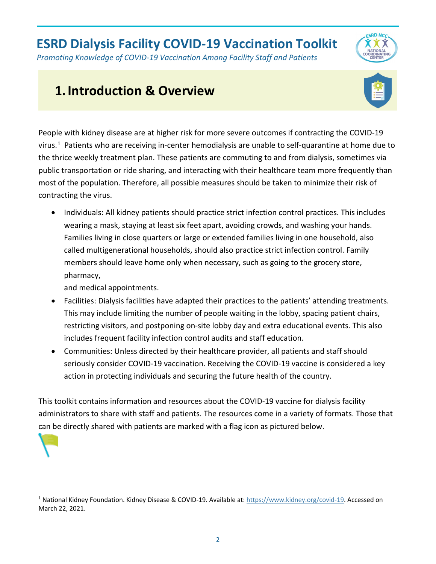*Promoting Knowledge of COVID-19 Vaccination Among Facility Staff and Patients*

## <span id="page-2-0"></span>**1.Introduction & Overview**



**ESRD NCC** 

People with kidney disease are at higher risk for more severe outcomes if contracting the COVID-19 virus.<sup>[1](#page-2-1)</sup> Patients who are receiving in-center hemodialysis are unable to self-quarantine at home due to the thrice weekly treatment plan. These patients are commuting to and from dialysis, sometimes via public transportation or ride sharing, and interacting with their healthcare team more frequently than most of the population. Therefore, all possible measures should be taken to minimize their risk of contracting the virus.

• Individuals: All kidney patients should practice strict infection control practices. This includes wearing a mask, staying at least six feet apart, avoiding crowds, and washing your hands. Families living in close quarters or large or extended families living in one household, also called multigenerational households, should also practice strict infection control. Family members should leave home only when necessary, such as going to the grocery store, pharmacy,

and medical appointments.

- Facilities: Dialysis facilities have adapted their practices to the patients' attending treatments. This may include limiting the number of people waiting in the lobby, spacing patient chairs, restricting visitors, and postponing on-site lobby day and extra educational events. This also includes frequent facility infection control audits and staff education.
- Communities: Unless directed by their healthcare provider, all patients and staff should seriously consider COVID-19 vaccination. Receiving the COVID-19 vaccine is considered a key action in protecting individuals and securing the future health of the country.

This toolkit contains information and resources about the COVID-19 vaccine for dialysis facility administrators to share with staff and patients. The resources come in a variety of formats. Those that can be directly shared with patients are marked with a flag icon as pictured below.



<span id="page-2-1"></span><sup>&</sup>lt;sup>1</sup> National Kidney Foundation. Kidney Disease & COVID-19. Available at: [https://www.kidney.org/covid-19.](https://www.kidney.org/covid-19) Accessed on March 22, 2021.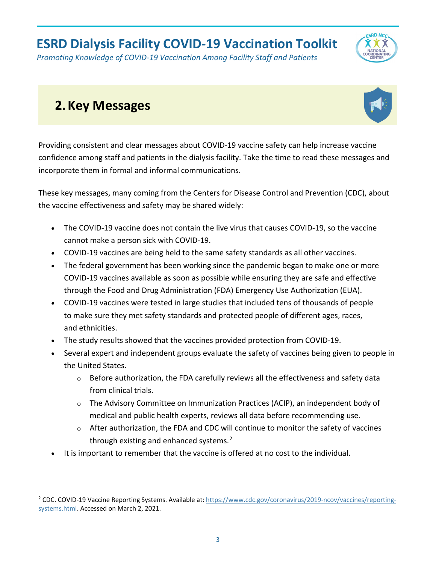*Promoting Knowledge of COVID-19 Vaccination Among Facility Staff and Patients*

## <span id="page-3-0"></span>**2.Key Messages**



**CRD NCC** 

Providing consistent and clear messages about COVID-19 vaccine safety can help increase vaccine confidence among staff and patients in the dialysis facility. Take the time to read these messages and incorporate them in formal and informal communications.

These key messages, many coming from the Centers for Disease Control and Prevention (CDC), about the vaccine effectiveness and safety may be shared widely:

- The COVID-19 vaccine does not contain the live virus that causes COVID-19, so the vaccine cannot make a person sick with COVID-19.
- COVID-19 vaccines are being held to the same safety standards as all other vaccines.
- The federal government has been working since the pandemic began to make one or more COVID-19 vaccines available as soon as possible while ensuring they are safe and effective through the Food and Drug Administration (FDA) Emergency Use Authorization (EUA).
- COVID-19 vaccines were tested in large studies that included tens of thousands of people to make sure they met safety standards and protected people of different ages, races, and ethnicities.
- The study results showed that the vaccines provided protection from COVID-19.
- Several expert and independent groups evaluate the safety of vaccines being given to people in the United States.
	- $\circ$  Before authorization, the FDA carefully reviews all the effectiveness and safety data from clinical trials.
	- o The Advisory Committee on Immunization Practices (ACIP), an independent body of medical and public health experts, reviews all data before recommending use.
	- $\circ$  After authorization, the FDA and CDC will continue to monitor the safety of vaccines through existing and enhanced systems.<sup>[2](#page-3-1)</sup>
- It is important to remember that the vaccine is offered at no cost to the individual.

<span id="page-3-1"></span><sup>&</sup>lt;sup>2</sup> CDC. COVID-19 Vaccine Reporting Systems. Available at[: https://www.cdc.gov/coronavirus/2019-ncov/vaccines/reporting](https://www.cdc.gov/coronavirus/2019-ncov/vaccines/reporting-systems.html)[systems.html.](https://www.cdc.gov/coronavirus/2019-ncov/vaccines/reporting-systems.html) Accessed on March 2, 2021.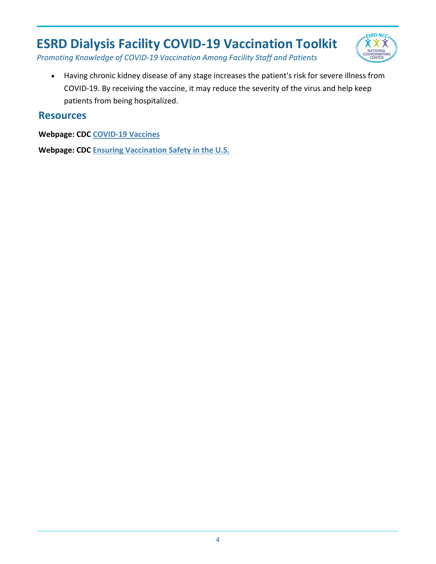

*Promoting Knowledge of COVID-19 Vaccination Among Facility Staff and Patients*

• Having chronic kidney disease of any stage increases the patient's risk for severe illness from COVID-19. By receiving the vaccine, it may reduce the severity of the virus and help keep patients from being hospitalized.

#### **Resources**

**Webpage: CDC [COVID-19 Vaccines](https://www.cdc.gov/coronavirus/2019-ncov/vaccines/index.html)** 

**Webpage: CDC [Ensuring Vaccination Safety in the U.S.](https://www.cdc.gov/coronavirus/2019-ncov/vaccines/safety.html)**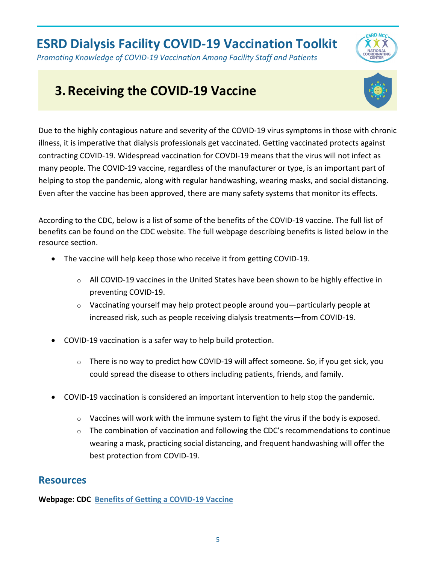

## <span id="page-5-0"></span>**3.Receiving the COVID-19 Vaccine**



**CRD NCA** 

Due to the highly contagious nature and severity of the COVID-19 virus symptoms in those with chronic illness, it is imperative that dialysis professionals get vaccinated. Getting vaccinated protects against contracting COVID-19. Widespread vaccination for COVDI-19 means that the virus will not infect as many people. The COVID-19 vaccine, regardless of the manufacturer or type, is an important part of helping to stop the pandemic, along with regular handwashing, wearing masks, and social distancing. Even after the vaccine has been approved, there are many safety systems that monitor its effects.

According to the CDC, below is a list of some of the benefits of the COVID-19 vaccine. The full list of benefits can be found on the CDC website. The full webpage describing benefits is listed below in the resource section.

- The vaccine will help keep those who receive it from getting COVID-19.
	- $\circ$  All COVID-19 vaccines in the United States have been shown to be highly effective in preventing COVID-19.
	- $\circ$  Vaccinating yourself may help protect people around you—particularly people at increased risk, such as people receiving dialysis treatments—from COVID-19.
- COVID-19 vaccination is a safer way to help build protection.
	- o There is no way to predict how COVID-19 will affect someone. So, if you get sick, you could spread the disease to others including patients, friends, and family.
- COVID-19 vaccination is considered an important intervention to help stop the pandemic.
	- $\circ$  Vaccines will work with the immune system to fight the virus if the body is exposed.
	- $\circ$  The combination of vaccination and following the CDC's recommendations to continue wearing a mask, practicing social distancing, and frequent handwashing will offer the best protection from COVID-19.

#### **Resources**

**Webpage: CDC [Benefits of Getting a COVID-19 Vaccine](https://www.cdc.gov/coronavirus/2019-ncov/vaccines/vaccine-benefits.html)**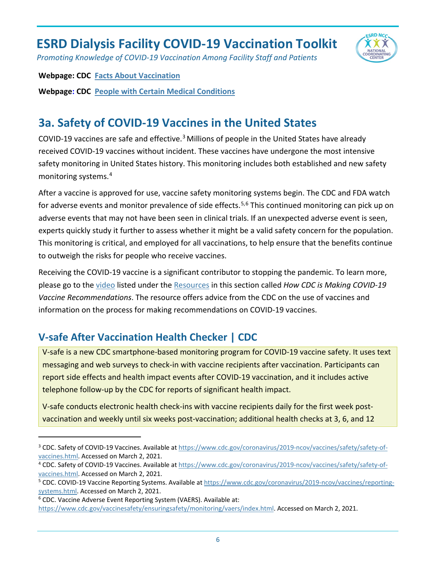

*Promoting Knowledge of COVID-19 Vaccination Among Facility Staff and Patients*

#### **Webpage: CDC [Facts About Vaccination](https://www.cdc.gov/coronavirus/2019-ncov/vaccines/facts.html?CDC_AA_refVal=https%3A%2F%2Fwww.cdc.gov%2Fcoronavirus%2F2019-ncov%2Fvaccines%2Fvaccine-benefits%2Ffacts.html)**

**Webpage: CDC [People with Certain Medical Conditions](https://www.cdc.gov/coronavirus/2019-ncov/need-extra-precautions/people-with-medical-conditions.html/#chronic-kidney-disease)** 

### <span id="page-6-0"></span>**3a. Safety of COVID-19 Vaccines in the United States**

COVID-19 vaccines are safe and effective.[3](#page-6-2) Millions of people in the United States have already received COVID-19 vaccines without incident. These vaccines have undergone the most intensive safety monitoring in United States history. This monitoring includes both established and new safety monitoring systems.[4](#page-6-3)

After a vaccine is approved for use, vaccine safety monitoring systems begin. The CDC and FDA watch for adverse events and monitor prevalence of side effects.<sup>[5,](#page-6-4)[6](#page-6-5)</sup> This continued monitoring can pick up on adverse events that may not have been seen in clinical trials. If an unexpected adverse event is seen, experts quickly study it further to assess whether it might be a valid safety concern for the population. This monitoring is critical, and employed for all vaccinations, to help ensure that the benefits continue to outweigh the risks for people who receive vaccines.

Receiving the COVID-19 vaccine is a significant contributor to stopping the pandemic. To learn more, please go to the [video](#page-20-0) listed under the [Resources](#page-19-0) in this section called *How CDC is Making COVID-19 Vaccine Recommendations*. The resource offers advice from the CDC on the use of vaccines and information on the process for making recommendations on COVID-19 vaccines.

### <span id="page-6-1"></span>**V-safe After Vaccination Health Checker | CDC**

V-safe is a new CDC smartphone-based monitoring program for COVID-19 vaccine safety. It uses text messaging and web surveys to check-in with vaccine recipients after vaccination. Participants can report side effects and health impact events after COVID-19 vaccination, and it includes active telephone follow-up by the CDC for reports of significant health impact.

V-safe conducts electronic health check-ins with vaccine recipients daily for the first week postvaccination and weekly until six weeks post-vaccination; additional health checks at 3, 6, and 12

<span id="page-6-2"></span><sup>&</sup>lt;sup>3</sup> CDC. Safety of COVID-19 Vaccines. Available at [https://www.cdc.gov/coronavirus/2019-ncov/vaccines/safety/safety-of](https://www.cdc.gov/coronavirus/2019-ncov/vaccines/safety/safety-of-vaccines.html)[vaccines.html.](https://www.cdc.gov/coronavirus/2019-ncov/vaccines/safety/safety-of-vaccines.html) Accessed on March 2, 2021.

<span id="page-6-3"></span><sup>&</sup>lt;sup>4</sup> CDC. Safety of COVID-19 Vaccines. Available at [https://www.cdc.gov/coronavirus/2019-ncov/vaccines/safety/safety-of](https://www.cdc.gov/coronavirus/2019-ncov/vaccines/safety/safety-of-vaccines.html)[vaccines.html.](https://www.cdc.gov/coronavirus/2019-ncov/vaccines/safety/safety-of-vaccines.html) Accessed on March 2, 2021.

<span id="page-6-4"></span><sup>&</sup>lt;sup>5</sup> CDC. COVID-19 Vaccine Reporting Systems. Available a[t https://www.cdc.gov/coronavirus/2019-ncov/vaccines/reporting](https://www.cdc.gov/coronavirus/2019-ncov/vaccines/reporting-systems.html)[systems.html.](https://www.cdc.gov/coronavirus/2019-ncov/vaccines/reporting-systems.html) Accessed on March 2, 2021.

<span id="page-6-5"></span><sup>&</sup>lt;sup>6</sup> CDC. Vaccine Adverse Event Reporting System (VAERS). Available at:

[https://www.cdc.gov/vaccinesafety/ensuringsafety/monitoring/vaers/index.html.](https://www.cdc.gov/vaccinesafety/ensuringsafety/monitoring/vaers/index.html) Accessed on March 2, 2021.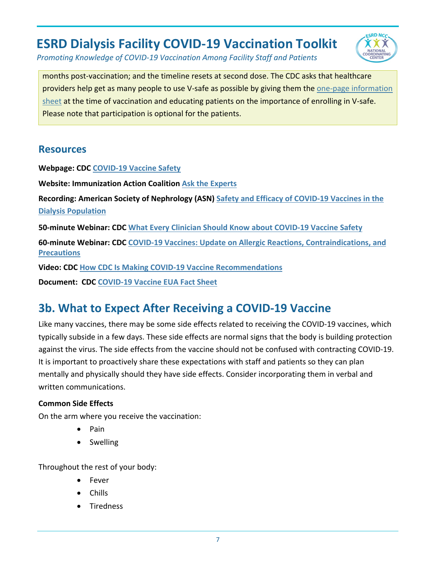

*Promoting Knowledge of COVID-19 Vaccination Among Facility Staff and Patients*

months post-vaccination; and the timeline resets at second dose. The CDC asks that healthcare providers help get as many people to use V-safe as possible by giving them the one-page information sheet at the time of vaccination and educating patients on the importance of enrolling in V-safe. Please note that participation is optional for the patients.

#### **Resources**

**Webpage: CDC [COVID-19 Vaccine Safety](https://www.cdc.gov/coronavirus/2019-ncov/vaccines/safety.html)**

**Website: Immunization Action Coalition [Ask the Experts](https://www.immunize.org/askexperts/experts_cov.asp)**

**Recording: American Society of Nephrology (ASN) [Safety and Efficacy of COVID-19 Vaccines in the](https://www.youtube.com/watch?app=desktop&v=Z8AaGVnD0GU&feature=youtu.be)  [Dialysis Population](https://www.youtube.com/watch?app=desktop&v=Z8AaGVnD0GU&feature=youtu.be)**

**50-minute Webinar: CDC [What Every Clinician Should Know about COVID-19 Vaccine Safety](https://emergency.cdc.gov/coca/calls/2020/callinfo_121420.asp)**

**60-minute Webinar: CDC [COVID-19 Vaccines: Update on Allergic Reactions, Contraindications, and](https://emergency.cdc.gov/coca/calls/2020/callinfo_123020.asp)  [Precautions](https://emergency.cdc.gov/coca/calls/2020/callinfo_123020.asp)**

**Video: CDC [How CDC Is Making COVID-19 Vaccine Recommendations](https://www.youtube.com/watch?app=desktop&v=6Wqk2CrMrh8&feature=youtu.be)**

**Document: CDC [COVID-19 Vaccine EUA Fact Sheet](https://www.cdc.gov/vaccines/covid-19/eua/index.html)** 

### <span id="page-7-0"></span>**3b. What to Expect After Receiving a COVID-19 Vaccine**

Like many vaccines, there may be some side effects related to receiving the COVID-19 vaccines, which typically subside in a few days. These side effects are normal signs that the body is building protection against the virus. The side effects from the vaccine should not be confused with contracting COVID-19. It is important to proactively share these expectations with staff and patients so they can plan mentally and physically should they have side effects. Consider incorporating them in verbal and written communications.

#### **Common Side Effects**

On the arm where you receive the vaccination:

- Pain
- Swelling

Throughout the rest of your body:

- **Fever**
- Chills
- **Tiredness**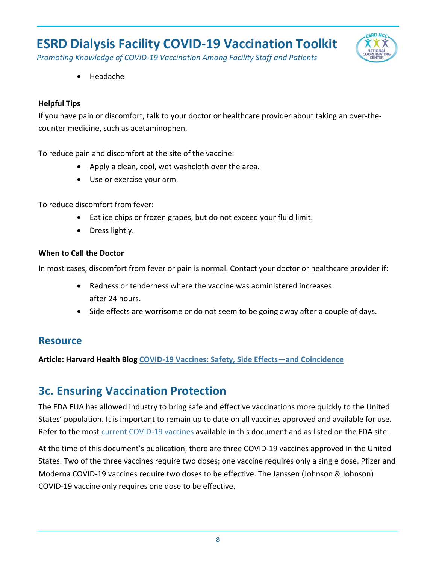

*Promoting Knowledge of COVID-19 Vaccination Among Facility Staff and Patients*

• Headache

#### **Helpful Tips**

If you have pain or discomfort, talk to your doctor or healthcare provider about taking an over-thecounter medicine, such as acetaminophen.

To reduce pain and discomfort at the site of the vaccine:

- Apply a clean, cool, wet washcloth over the area.
- Use or exercise your arm.

To reduce discomfort from fever:

- Eat ice chips or frozen grapes, but do not exceed your fluid limit.
- Dress lightly.

#### **When to Call the Doctor**

In most cases, discomfort from fever or pain is normal. Contact your doctor or healthcare provider if:

- Redness or tenderness where the vaccine was administered increases after 24 hours.
- Side effects are worrisome or do not seem to be going away after a couple of days.

#### **Resource**

<span id="page-8-0"></span>**Article: Harvard Health Blog [COVID-19 Vaccines: Safety, Side Effects—and Coincidence](https://www.health.harvard.edu/blog/covid-19-vaccines-safety-side-effects-and-coincidence-2021020821906)**

### **3c. Ensuring Vaccination Protection**

The FDA EUA has allowed industry to bring safe and effective vaccinations more quickly to the United States' population. It is important to remain up to date on all vaccines approved and available for use. Refer to the most [current](#page-14-0) [COVID-19 vaccines](https://www.fda.gov/emergency-preparedness-and-response/coronavirus-disease-2019-covid-19/covid-19-vaccines) available in this document and as listed on the FDA site.

At the time of this document's publication, there are three COVID-19 vaccines approved in the United States. Two of the three vaccines require two doses; one vaccine requires only a single dose. Pfizer and Moderna COVID-19 vaccines require two doses to be effective. The Janssen (Johnson & Johnson) COVID-19 vaccine only requires one dose to be effective.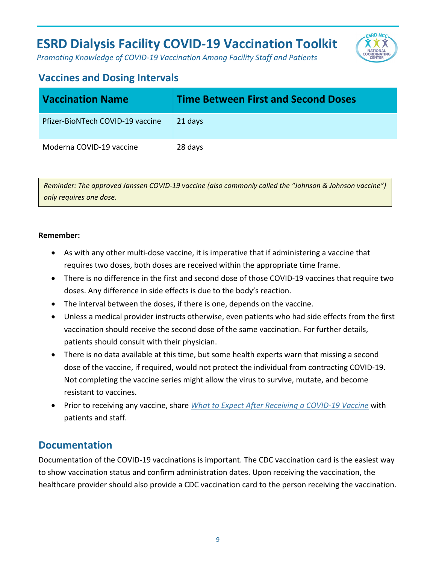

*Promoting Knowledge of COVID-19 Vaccination Among Facility Staff and Patients*

### <span id="page-9-0"></span>**Vaccines and Dosing Intervals**

| <b>Vaccination Name</b>          | <b>Time Between First and Second Doses</b> |
|----------------------------------|--------------------------------------------|
| Pfizer-BioNTech COVID-19 vaccine | 21 days                                    |
| Moderna COVID-19 vaccine         | 28 days                                    |

*Reminder: The approved Janssen COVID-19 vaccine (also commonly called the "Johnson & Johnson vaccine") only requires one dose.*

#### **Remember:**

- As with any other multi-dose vaccine, it is imperative that if administering a vaccine that requires two doses, both doses are received within the appropriate time frame.
- There is no difference in the first and second dose of those COVID-19 vaccines that require two doses. Any difference in side effects is due to the body's reaction.
- The interval between the doses, if there is one, depends on the vaccine.
- Unless a medical provider instructs otherwise, even patients who had side effects from the first vaccination should receive the second dose of the same vaccination. For further details, patients should consult with their physician.
- There is no data available at this time, but some health experts warn that missing a second dose of the vaccine, if required, would not protect the individual from contracting COVID-19. Not completing the vaccine series might allow the virus to survive, mutate, and become resistant to vaccines.
- Prior to receiving any vaccine, share *[What to Expect After Receiving a COVID-19 Vaccine](#page-7-0)* with patients and staff.

#### <span id="page-9-1"></span>**Documentation**

Documentation of the COVID-19 vaccinations is important. The CDC vaccination card is the easiest way to show vaccination status and confirm administration dates. Upon receiving the vaccination, the healthcare provider should also provide a CDC vaccination card to the person receiving the vaccination.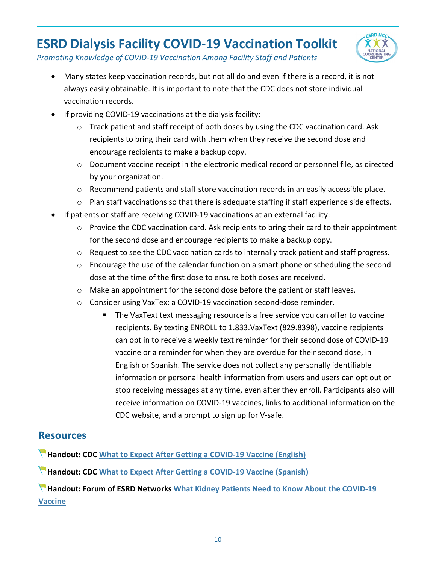

*Promoting Knowledge of COVID-19 Vaccination Among Facility Staff and Patients*

- Many states keep vaccination records, but not all do and even if there is a record, it is not always easily obtainable. It is important to note that the CDC does not store individual vaccination records.
- If providing COVID-19 vaccinations at the dialysis facility:
	- $\circ$  Track patient and staff receipt of both doses by using the CDC vaccination card. Ask recipients to bring their card with them when they receive the second dose and encourage recipients to make a backup copy.
	- o Document vaccine receipt in the electronic medical record or personnel file, as directed by your organization.
	- $\circ$  Recommend patients and staff store vaccination records in an easily accessible place.
	- o Plan staff vaccinations so that there is adequate staffing if staff experience side effects.
- If patients or staff are receiving COVID-19 vaccinations at an external facility:
	- $\circ$  Provide the CDC vaccination card. Ask recipients to bring their card to their appointment for the second dose and encourage recipients to make a backup copy.
	- $\circ$  Request to see the CDC vaccination cards to internally track patient and staff progress.
	- $\circ$  Encourage the use of the calendar function on a smart phone or scheduling the second dose at the time of the first dose to ensure both doses are received.
	- o Make an appointment for the second dose before the patient or staff leaves.
	- o Consider using VaxTe[x: a COVID-19 vaccination second-dose reminder.](https://www.cdc.gov/vaccines/covid-19/reporting/vaxtext/index.html)
		- The VaxText text messaging resource is a free service you can offer to vaccine recipients. By texting ENROLL to 1.833.VaxText (829.8398), vaccine recipients can opt in to receive a weekly text reminder for their second dose of COVID-19 vaccine or a reminder for when they are overdue for their second dose, in English or Spanish. The service does not collect any personally identifiable information or personal health information from users and users can opt out or stop receiving messages at any time, even after they enroll. Participants also will receive information on COVID-19 vaccines, links to additional information on the CDC website, and a prompt to sign up for V-safe.

#### **Resources**

**Handout: CDC [What to Expect After Getting a COVID-19 Vaccine \(English\)](https://www.cdc.gov/coronavirus/2019-ncov/vaccines/pdfs/321466-A_FS_What_Expect_COVID-19_Vax_Final_12.13.20.pdf)**

**Handout: CDC [What to Expect After Getting a COVID-19 Vaccine \(Spanish\)](https://www.cdc.gov/coronavirus/2019-ncov/downloads/vaccines/What_Expect_Vaccination_ES.pdf)**

**Handout: Forum of ESRD Networks [What Kidney Patients Need to Know About the COVID-19](https://s3.amazonaws.com/media.esrdnetworks.org/documents/Kidney_patients_and_vaccine_flyer.pdf)  [Vaccine](https://s3.amazonaws.com/media.esrdnetworks.org/documents/Kidney_patients_and_vaccine_flyer.pdf)**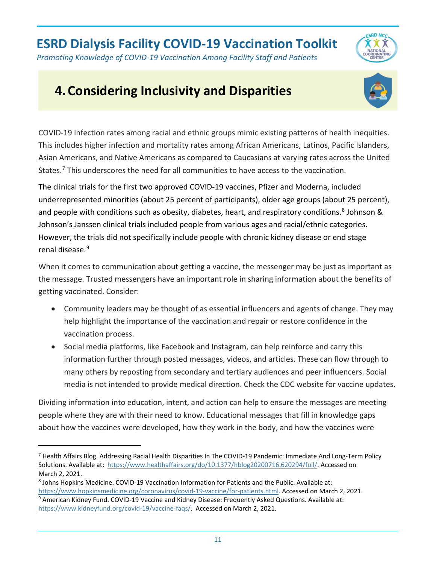

# <span id="page-11-0"></span>**4.Considering Inclusivity and Disparities**



**ESRD NCC**  $\alpha$ 

COVID-19 infection rates among racial and ethnic groups mimic existing patterns of health inequities. This includes higher infection and mortality rates among African Americans, Latinos, Pacific Islanders, Asian Americans, and Native Americans as compared to Caucasians at varying rates across the United States.<sup>7</sup> This underscores the need for all communities to have access to the vaccination.

The clinical trials for the first two approved COVID-19 vaccines, Pfizer and Moderna, included underrepresented minorities (about 25 percent of participants), older age groups (about 25 percent), and people with conditions such as obesity, diabetes, heart, and respiratory conditions.<sup>[8](#page-11-2)</sup> Johnson & Johnson's Janssen clinical trials included people from various ages and racial/ethnic categories. However, the trials did not specifically include people with chronic kidney disease or end stage renal disease.[9](#page-11-3)

When it comes to communication about getting a vaccine, the messenger may be just as important as the message. Trusted messengers have an important role in sharing information about the benefits of getting vaccinated. Consider:

- Community leaders may be thought of as essential influencers and agents of change. They may help highlight the importance of the vaccination and repair or restore confidence in the vaccination process.
- Social media platforms, like Facebook and Instagram, can help reinforce and carry this information further through posted messages, videos, and articles. These can flow through to many others by reposting from secondary and tertiary audiences and peer influencers. Social media is not intended to provide medical direction. Check the CDC website for vaccine updates.

Dividing information into education, intent, and action can help to ensure the messages are meeting people where they are with their need to know. Educational messages that fill in knowledge gaps about how the vaccines were developed, how they work in the body, and how the vaccines were

<span id="page-11-1"></span><sup>&</sup>lt;sup>7</sup> Health Affairs Blog. Addressing Racial Health Disparities In The COVID-19 Pandemic: Immediate And Long-Term Policy Solutions. Available at: [https://www.healthaffairs.org/do/10.1377/hblog20200716.620294/full/.](https://www.healthaffairs.org/do/10.1377/hblog20200716.620294/full/) Accessed on March 2, 2021.

<span id="page-11-2"></span><sup>8</sup> Johns Hopkins Medicine. COVID-19 Vaccination Information for Patients and the Public. Available at: [https://www.hopkinsmedicine.org/coronavirus/covid-19-vaccine/for-patients.html.](https://www.hopkinsmedicine.org/coronavirus/covid-19-vaccine/for-patients.html) Accessed on March 2, 2021.

<span id="page-11-3"></span><sup>9</sup> American Kidney Fund. COVID-19 Vaccine and Kidney Disease: Frequently Asked Questions. Available at: [https://www.kidneyfund.org/covid-19/vaccine-faqs/.](https://www.kidneyfund.org/covid-19/vaccine-faqs/) Accessed on March 2, 2021.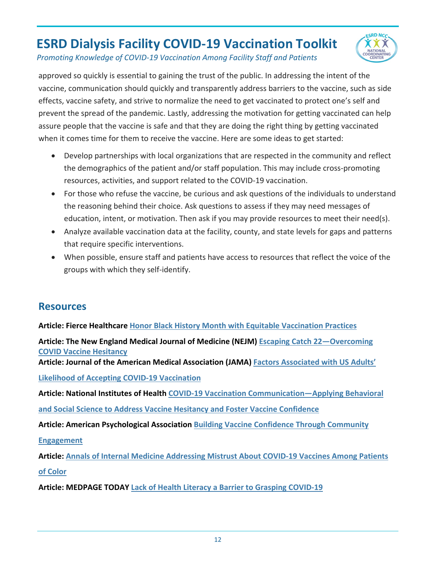**ESRD NCC** 

*Promoting Knowledge of COVID-19 Vaccination Among Facility Staff and Patients*

approved so quickly is essential to gaining the trust of the public. In addressing the intent of the vaccine, communication should quickly and transparently address barriers to the vaccine, such as side effects, vaccine safety, and strive to normalize the need to get vaccinated to protect one's self and prevent the spread of the pandemic. Lastly, addressing the motivation for getting vaccinated can help assure people that the vaccine is safe and that they are doing the right thing by getting vaccinated when it comes time for them to receive the vaccine. Here are some ideas to get started:

- Develop partnerships with local organizations that are respected in the community and reflect the demographics of the patient and/or staff population. This may include cross-promoting resources, activities, and support related to the COVID-19 vaccination.
- For those who refuse the vaccine, be curious and ask questions of the individuals to understand the reasoning behind their choice. Ask questions to assess if they may need messages of education, intent, or motivation. Then ask if you may provide resources to meet their need(s).
- Analyze available vaccination data at the facility, county, and state levels for gaps and patterns that require specific interventions.
- When possible, ensure staff and patients have access to resources that reflect the voice of the groups with which they self-identify.

#### **Resources**

**Article: Fierce Healthcare [Honor Black History Month with Equitable Vaccination Practices](https://www.fiercehealthcare.com/hospitals/industry-voices-honor-black-history-month-equitable-vaccination-practices)**

**Article: The New England Medical Journal of Medicine (NEJM) [Escaping Catch 22—Overcoming](https://www.nejm.org/doi/pdf/10.1056/NEJMms2101220)  [COVID Vaccine Hesitancy](https://www.nejm.org/doi/pdf/10.1056/NEJMms2101220) Article: Journal of the American Medical Association (JAMA) [Factors Associated with US Adults'](https://jamanetwork.com/journals/jamanetworkopen/fullarticle/2771872)  [Likelihood of Accepting COVID-19 Vaccination](https://jamanetwork.com/journals/jamanetworkopen/fullarticle/2771872) Article: National Institutes of Health [COVID-19 Vaccination Communication—Applying Behavioral](https://obssr.od.nih.gov/wp-content/uploads/2020/12/COVIDReport_Final.pdf)  [and Social Science to Address Vaccine Hesitancy and Foster Vaccine Confidence](https://obssr.od.nih.gov/wp-content/uploads/2020/12/COVIDReport_Final.pdf)  Article: American Psychological Association [Building Vaccine Confidence Through Community](https://www.apa.org/topics/covid-19/equity-resources/building-vaccine-confidence.pdf)** 

**[Engagement](https://www.apa.org/topics/covid-19/equity-resources/building-vaccine-confidence.pdf)** 

**Article: Annals of Internal Medicine [Addressing Mistrust About COVID-19 Vaccines Among Patients](https://www.acpjournals.org/doi/10.7326/M21-0055)  [of Color](https://www.acpjournals.org/doi/10.7326/M21-0055)**

**Article: MEDPAGE TODAY [Lack of Health Literacy a Barrier to Grasping COVID-19](https://www.medpagetoday.com/infectiousdisease/covid19/87002)**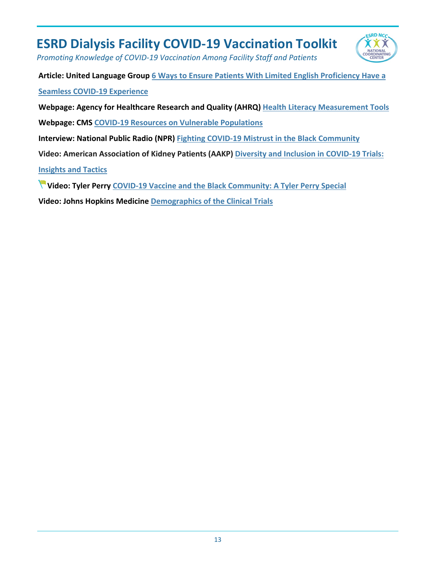

*Promoting Knowledge of COVID-19 Vaccination Among Facility Staff and Patients*

**Article: United Language Group [6 Ways to Ensure Patients With Limited English Proficiency Have a](https://www.unitedlanguagegroup.com/blog/six-ways-to-ensure-patients-have-a-seamless-vaccine-experience)  [Seamless COVID-19 Experience](https://www.unitedlanguagegroup.com/blog/six-ways-to-ensure-patients-have-a-seamless-vaccine-experience)** 

**Webpage: Agency for Healthcare Research and Quality (AHRQ) [Health Literacy Measurement Tools](https://www.ahrq.gov/health-literacy/research/tools/index.html)**

**Webpage: CMS [COVID-19 Resources on Vulnerable Populations](https://www.cms.gov/About-CMS/Agency-Information/OMH/resource-center/COVID-19-Resources)** 

**Interview: National Public Radio (NPR) [Fighting COVID-19 Mistrust in the Black Community](https://www.npr.org/2020/12/19/948316306/fighting-covid-19-vaccine-mistrust-in-the-black-community)**

**Video: American Association of Kidney Patients (AAKP) [Diversity and Inclusion in COVID-19 Trials:](https://www.youtube.com/watch?app=desktop&v=J2H0kKAcjYE&list=PLsqCn2yDJM3OZxrsJ4TG3mYzbXlWH8MnN&index=25&t=10s)** 

**[Insights and Tactics](https://www.youtube.com/watch?app=desktop&v=J2H0kKAcjYE&list=PLsqCn2yDJM3OZxrsJ4TG3mYzbXlWH8MnN&index=25&t=10s)**

**Video: Tyler Perry [COVID-19 Vaccine and the Black Community: A Tyler Perry Special](https://www.youtube.com/watch?v=M56q6TIJ890)**

**Video: Johns Hopkins Medicine [Demographics of the Clinical Trials](https://www.youtube.com/watch?v=UoOAvqjJYN0&feature=youtu.be)**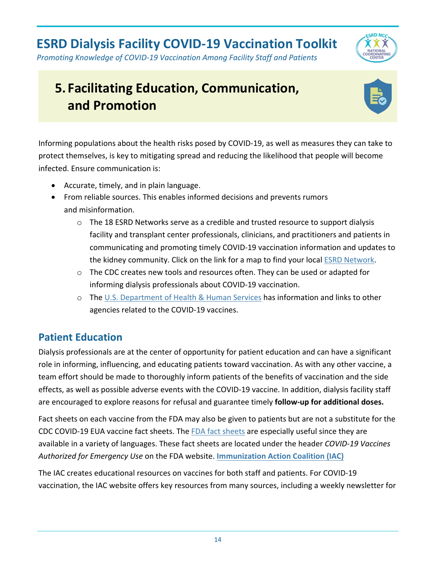

*Promoting Knowledge of COVID-19 Vaccination Among Facility Staff and Patients*

# <span id="page-14-0"></span>**5. Facilitating Education, Communication, and Promotion**



Informing populations about the health risks posed by COVID-19, as well as measures they can take to protect themselves, is key to mitigating spread and reducing the likelihood that people will become infected. Ensure communication is:

- Accurate, timely, and in plain language.
- From reliable sources. This enables informed decisions and prevents rumors and misinformation.
	- $\circ$  The 18 ESRD Networks serve as a credible and trusted resource to support dialysis facility and transplant center professionals, clinicians, and practitioners and patients in communicating and promoting timely COVID-19 vaccination information and updates to the kidney community. Click on the link for a map to find your local [ESRD Network.](https://esrdncc.org/en/ESRD-network-map/)
	- $\circ$  The CDC creates new tools and resources often. They can be used or adapted for informing dialysis professionals about COVID-19 vaccination.
	- o The [U.S. Department of Health & Human Services](https://www.hhs.gov/coronavirus/covid-19-vaccines/index.html) has information and links to other agencies related to the COVID-19 vaccines.

### <span id="page-14-1"></span>**Patient Education**

Dialysis professionals are at the center of opportunity for patient education and can have a significant role in informing, influencing, and educating patients toward vaccination. As with any other vaccine, a team effort should be made to thoroughly inform patients of the benefits of vaccination and the side effects, as well as possible adverse events with the COVID-19 vaccine. In addition, dialysis facility staff are encouraged to explore reasons for refusal and guarantee timely **follow-up for additional doses.** 

Fact sheets on each vaccine from the FDA may also be given to patients but are not a substitute for the CDC COVID-19 EUA vaccine fact sheets. The [FDA fact sheets](https://www.fda.gov/emergency-preparedness-and-response/coronavirus-disease-2019-covid-19/covid-19-vaccines) are especially useful since they are available in a variety of languages. These fact sheets are located under the header *COVID-19 Vaccines Authorized for Emergency Use* on the FDA website. **[Immunization Action Coalition \(IAC\)](https://www.immunize.org/)**

The IAC creates educational resources on vaccines for both staff and patients. For COVID-19 vaccination, the IAC website offers key resources from many sources, including a weekly newsletter for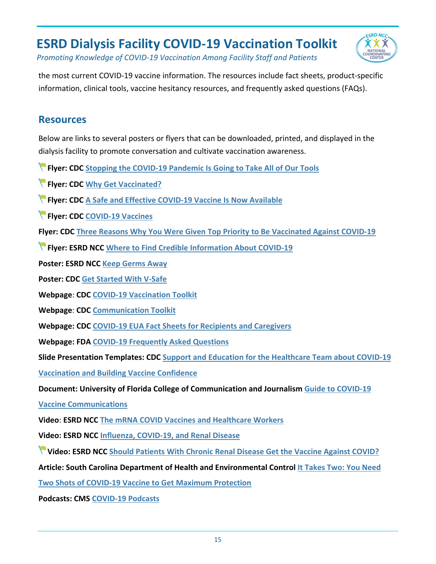

*Promoting Knowledge of COVID-19 Vaccination Among Facility Staff and Patients*

the most current COVID-19 vaccine information. The resources include fact sheets, product-specific information, clinical tools, vaccine hesitancy resources, and frequently asked questions (FAQs).

#### **Resources**

Below are links to several posters or flyers that can be downloaded, printed, and displayed in the dialysis facility to promote conversation and cultivate vaccination awareness.

**Flyer: CDC [Stopping the COVID-19 Pandemic Is Going to Take All of Our Tools](https://www.cdc.gov/vaccines/covid-19/downloads/all-of-our-tools.pdf)**

**Flyer: CDC [Why Get Vaccinated?](https://www.cdc.gov/vaccines/covid-19/downloads/why-get-vaccinated.pdf)**

**Flyer: CDC [A Safe and Effective COVID-19 Vaccine Is Now Available](https://www.cdc.gov/coronavirus/2019-ncov/downloads/vaccines/fotonovela-bw.pdf)**

**Flyer: CDC [COVID-19 Vaccines](https://www.cdc.gov/coronavirus/2019-ncov/downloads/vaccines/facts-covid-vaccines-english-508.pdf)**

**Flyer: CDC [Three Reasons Why You Were Given Top Priority to Be Vaccinated Against COVID-19](https://www.cdc.gov/vaccines/covid-19/downloads/top-priority-for-vaccination.pdf)**

**Flyer: ESRD NCC [Where to Find Credible Information About COVID-19](https://esrdncc.org/globalassets/covid-19/ncccredibleresources508.pdf)**

**Poster: ESRD NCC [Keep Germs Away](https://esrdncc.org/contentassets/625da5d9c5e943b5a3d0be0a88981f12/posterpdf/keepgermsaway508.pdf)**

**Poster: CDC [Get Started With V-Safe](https://www.cdc.gov/vaccines/covid-19/downloads/get-started-with-v-safe.pdf)** 

**Webpage**: **CDC [COVID-19 Vaccination Toolkit](https://www.cdc.gov/vaccines/covid-19/toolkits/index.html)**

**Webpage**: **CDC [Communication Toolkit](https://www.cdc.gov/coronavirus/2019-ncov/need-extra-precautions/communication-toolkit.html)**

**Webpage: CDC [COVID-19 EUA Fact Sheets for Recipients and Caregivers](https://www.cdc.gov/vaccines/hcp/vis/index.html)** 

**Webpage: FDA [COVID-19 Frequently Asked Questions](https://www.fda.gov/emergency-preparedness-and-response/coronavirus-disease-2019-covid-19/covid-19-frequently-asked-questions)**

**Slide Presentation Templates: CDC [Support and Education for the Healthcare Team about COVID-19](https://www.cdc.gov/vaccines/covid-19/health-systems-communication-toolkit.html#slides)** 

**[Vaccination and Building Vaccine Confidence](https://www.cdc.gov/vaccines/covid-19/health-systems-communication-toolkit.html#slides)**

**Document: University of Florida College of Communication and Journalism [Guide to COVID-19](https://covid19vaccinescommunicationprinciples.org/)** 

**[Vaccine Communications](https://covid19vaccinescommunicationprinciples.org/)** 

**Video**: **ESRD NCC [The mRNA COVID Vaccines and Healthcare Workers](https://www.youtube.com/watch?v=lFcTmGSBr3g&feature=youtu.be)** 

**Video: ESRD NCC [Influenza, COVID-19, and Renal Disease](https://www.youtube.com/watch?v=uxno562I2Tw)**

**Video: ESRD NCC [Should Patients With Chronic Renal Disease Get the Vaccine Against COVID?](https://www.youtube.com/watch?v=SoMg1c30zmw)**

**Article: South Carolina Department of Health and Environmental Control [It Takes Two: You Need](https://scdhec.gov/news-releases/it-takes-two-you-need-two-shots-covid-19-vaccine-get-maximum-protection)** 

**[Two Shots of COVID-19 Vaccine to Get Maximum Protection](https://scdhec.gov/news-releases/it-takes-two-you-need-two-shots-covid-19-vaccine-get-maximum-protection)**

**Podcasts: CMS [COVID-19 Podcasts](https://www.cms.gov/Outreach-and-Education/Outreach/OpenDoorForums/PodcastAndTranscripts)**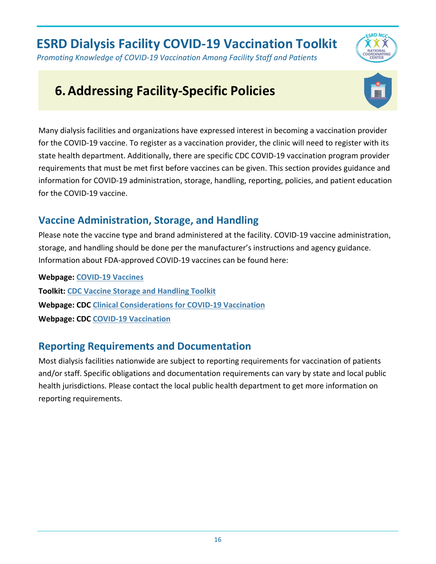*Promoting Knowledge of COVID-19 Vaccination Among Facility Staff and Patients*

# <span id="page-16-0"></span>**6.Addressing Facility-Specific Policies**



**ESRD NCC** 

Many dialysis facilities and organizations have expressed interest in becoming a vaccination provider for the COVID-19 vaccine. To register as a vaccination provider, the clinic will need to register with its state health department. Additionally, there are specific CDC COVID-19 vaccination program provider requirements that must be met first before vaccines can be given. This section provides guidance and information for COVID-19 administration, storage, handling, reporting, policies, and patient education for the COVID-19 vaccine.

### <span id="page-16-1"></span>**Vaccine Administration, Storage, and Handling**

Please note the vaccine type and brand administered at the facility. COVID-19 vaccine administration, storage, and handling should be done per the manufacturer's instructions and agency guidance. Information about FDA-approved COVID-19 vaccines can be found here:

**Webpage: [COVID-19 Vaccines](https://www.fda.gov/emergency-preparedness-and-response/coronavirus-disease-2019-covid-19/covid-19-vaccines)  Toolkit: [CDC Vaccine Storage and Handling Toolkit](https://www.cdc.gov/vaccines/hcp/admin/storage/toolkit/index.html) Webpage: CDC [Clinical Considerations for COVID-19 Vaccination](https://www.cdc.gov/vaccines/covid-19/clinical-considerations/index.html) Webpage: CDC [COVID-19 Vaccination](https://www.cdc.gov/vaccines/covid-19/index.html)**

### <span id="page-16-2"></span>**Reporting Requirements and Documentation**

Most dialysis facilities nationwide are subject to reporting requirements for vaccination of patients and/or staff. Specific obligations and documentation requirements can vary by state and local public health jurisdictions. Please contact the local public health department to get more information on reporting requirements.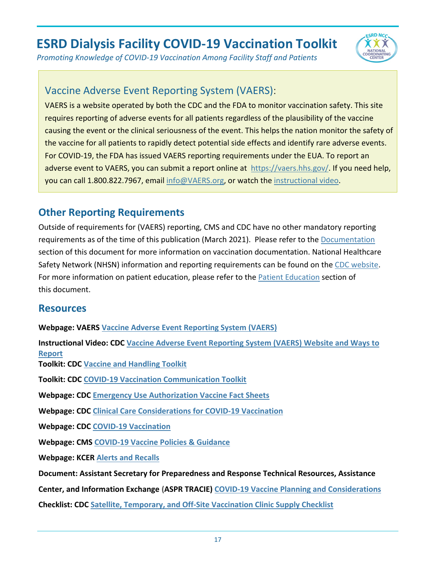

*Promoting Knowledge of COVID-19 Vaccination Among Facility Staff and Patients*

#### <span id="page-17-0"></span>[Vaccine Adverse Event Reporting System \(VAERS\)](https://vaers.hhs.gov/):

VAERS is a website operated by both the CDC and the FDA to monitor vaccination safety. This site requires reporting of adverse events for all patients regardless of the plausibility of the vaccine causing the event or the clinical seriousness of the event. This helps the nation monitor the safety of the vaccine for all patients to rapidly detect potential side effects and identify rare adverse events. For COVID-19, the FDA has issued VAERS reporting requirements under the EUA. To report an adverse event to VAERS, you can submit a report online at [https://vaers.hhs.gov/.](https://vaers.hhs.gov/) If you need help, you can call 1.800.822.7967, email [info@VAERS.org,](mailto:info@VAERS.org) or watch the [instructional video.](https://youtu.be/sbCWhcQADFE)

### <span id="page-17-1"></span>**Other Reporting Requirements**

Outside of requirements for (VAERS) reporting, CMS and CDC have no other mandatory reporting requirements as of the time of this publication (March 2021). Please refer to the [Documentation](#page-16-2) section of this document for more information on vaccination documentation. National Healthcare Safety Network (NHSN) information and reporting requirements can be found on the [CDC website.](https://www.cdc.gov/nhsn/covid19/index.html) For more information on patient education, please refer to the **Patient Education** section of this document.

#### **Resources**

<span id="page-17-2"></span>**Webpage: VAERS [Vaccine Adverse Event Reporting System \(VAERS\)](https://vaers.hhs.gov/) Instructional Video: CDC [Vaccine Adverse Event Reporting System \(VAERS\) Website and Ways to](https://www.youtube.com/watch?app=desktop&v=sbCWhcQADFE&feature=youtu.be)  [Report](https://www.youtube.com/watch?app=desktop&v=sbCWhcQADFE&feature=youtu.be) Toolkit: [CDC Vaccine and Handling Toolkit](https://www.cdc.gov/vaccines/hcp/admin/storage/toolkit/index.html) Toolkit: CDC [COVID-19 Vaccination Communication Toolkit](https://www.cdc.gov/vaccines/covid-19/health-systems-communication-toolkit.html) Webpage: CDC [Emergency Use Authorization Vaccine Fact Sheets](https://www.cdc.gov/vaccines/covid-19/eua/index.html) Webpage: CDC [Clinical Care Considerations for COVID-19 Vaccination](https://www.cdc.gov/vaccines/covid-19/clinical-considerations/index.html) Webpage: CDC [COVID-19 Vaccination](https://www.cdc.gov/vaccines/covid-19/index.html) Webpage: CMS [COVID-19 Vaccine Policies & Guidance](https://www.cms.gov/covidvax) Webpage: KCE[R Alerts and Recalls](https://www.kcercoalition.com/en/alerts-recalls/) Document: Assistant Secretary for Preparedness and Response Technical Resources, Assistance Center, and Information Exchange (ASPR TRACIE) [COVID-19 Vaccine Planning and Considerations](http://r20.rs6.net/tn.jsp?f=001xb9GMawomBbT6MMbOoqRtvTkOHfMbJ2z_zyzPHoM96VBe-TPEZ5oE81MLTpL44aJ148CtuomfINweYwkNCVkrLCfNQCZxRsyOvORtBfaW-ZCKYWhiYfKWCs3QWWZuinqlRjsQxtpeF4KTe1YcbJEZhCTbX-7ff2NIULPS_M1Oh_t60gJS6ibKX3zpZsb6hsUOXv29kOa8YM6mWaQ49kDx9Qb_DDX0OiyH521tFJUfT1U3BxmMiNE_3WN6AwhFnoKM5qg_1jvaE87LLZ-Hg9ckg==&c=4_T9YKQAN-SqdMdh1Ic--c3K6gnwY8ZZmKSSEog1iRgrItE7fA71LQ==&ch=80vQUJB8UtBcDGtc5LVTJBsfidb3e1I4KqLVObnbX46SUBMOMQ79Pw==)**

<span id="page-17-3"></span>**Checklist: CDC [Satellite, Temporary, and Off-Site Vaccination Clinic Supply Checklist](https://www.cdc.gov/vaccines/hcp/admin/downloads/2020-vaccine-clinic-supply-checklist-508.pdf)**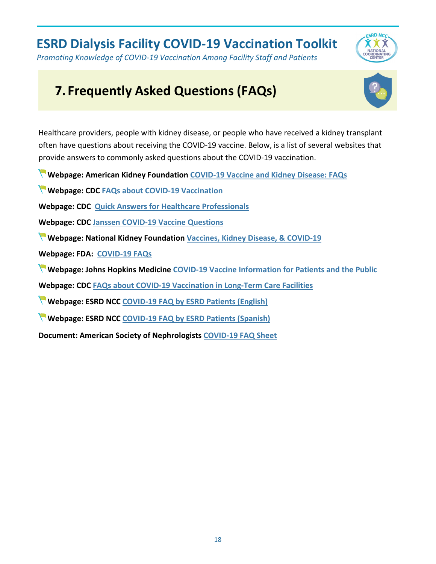*Promoting Knowledge of COVID-19 Vaccination Among Facility Staff and Patients*

## **ESRD NCC**  $\alpha x$

# <span id="page-18-0"></span>**7. Frequently Asked Questions (FAQs)**



Healthcare providers, people with kidney disease, or people who have received a kidney transplant often have questions about receiving the COVID-19 vaccine. Below, is a list of several websites that provide answers to commonly asked questions about the COVID-19 vaccination.

**Webpage: American Kidney Foundation [COVID-19 Vaccine and Kidney Disease: FAQs](https://www.kidneyfund.org/covid-19/vaccine-faqs/)**

**Webpage: CDC [FAQs about COVID-19 Vaccination](https://www.cdc.gov/coronavirus/2019-ncov/vaccines/faq.html)**

**Webpage: CDC [Quick Answers for Healthcare Professionals](https://www.cdc.gov/vaccines/covid-19/downloads/healthcare-professionals-vaccine-quick-answers.pdf)**

**Webpage: CDC [Janssen COVID-19 Vaccine Questions](https://www.cdc.gov/vaccines/covid-19/info-by-product/janssen/janssen-faqs.html)**

**Webpage: National Kidney Foundation [Vaccines, Kidney Disease, & COVID-19](https://www.kidney.org/coronavirus/vaccines-kidney-disease)**

**Webpage: FDA: [COVID-19 FAQs](https://www.fda.gov/emergency-preparedness-and-response/coronavirus-disease-2019-covid-19/covid-19-frequently-asked-questions)**

**Webpage: Johns Hopkins Medicine [COVID-19 Vaccine Information for Patients and the Public](https://www.hopkinsmedicine.org/coronavirus/covid-19-vaccine/for-patients.html#diverse-groups)**

<span id="page-18-1"></span>**Webpage: CDC [FAQs about COVID-19 Vaccination in Long-Term Care Facilities](https://www.cdc.gov/vaccines/covid-19/toolkits/long-term-care/faqs.html)** 

**Webpage: ESRD NCC [COVID-19 FAQ by ESRD Patients \(English\)](https://esrdncc.org/en/patients/covid-19/faqs/)**

**Webpage: ESRD NCC [COVID-19 FAQ by ESRD Patients \(Spanish\)](https://esrdncc.org/en/patients/covid-19/faqs-spanish/)**

**Document: American Society of Nephrologists [COVID-19 FAQ Sheet](https://aakp.org/wp-content/uploads/2021/01/2020-12-24-COVID19-VACCINE-FAQS_CLEAN-v2-1.pdf)**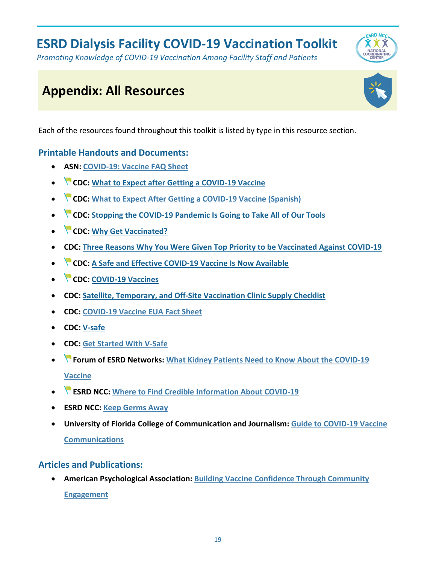*Promoting Knowledge of COVID-19 Vaccination Among Facility Staff and Patients*

# <span id="page-19-0"></span>**Appendix: All Resources**

Each of the resources found throughout this toolkit is listed by type in this resource section.

#### **Printable Handouts and Documents:**

- **ASN: [COVID-19: Vaccine](https://www.myast.org/covid-19-vaccine-faq-sheet) FAQ Sheet**
- **CDC: [What to Expect after Getting a COVID-19 Vaccine](https://www.cdc.gov/coronavirus/2019-ncov/vaccines/pdfs/321466-A_FS_What_Expect_COVID-19_Vax_Final_12.13.20.pdf)**
- **CDC: [What to Expect After Getting a COVID-19 Vaccine \(Spanish\)](https://www.cdc.gov/coronavirus/2019-ncov/downloads/vaccines/What_Expect_Vaccination_ES.pdf)**
- **CDC: [Stopping the COVID-19 Pandemic Is Going to Take All of Our Tools](https://www.cdc.gov/vaccines/covid-19/downloads/all-of-our-tools.pdf)**
- **CDC: Why Get [Vaccinated?](https://www.cdc.gov/vaccines/covid-19/downloads/why-get-vaccinated.pdf)**
- **CDC: [Three Reasons Why You Were Given Top Priority to be Vaccinated Against COVID-19](https://www.cdc.gov/vaccines/covid-19/downloads/top-priority-for-vaccination.pdf)**
- **CDC: [A Safe and Effective COVID-19 Vaccine Is Now Available](https://www.cdc.gov/coronavirus/2019-ncov/downloads/vaccines/fotonovela-bw.pdf)**
- **CDC: [COVID-19 Vaccines](https://www.cdc.gov/coronavirus/2019-ncov/downloads/vaccines/facts-covid-vaccines-english-508.pdf)**
- **CDC: [Satellite, Temporary, and Off-Site Vaccination Clinic Supply Checklist](https://www.cdc.gov/vaccines/hcp/admin/downloads/2020-vaccine-clinic-supply-checklist-508.pdf)**
- **CDC: [COVID-19 Vaccine EUA Fact Sheet](https://www.cdc.gov/vaccines/covid-19/eua/index.html)**
- **CDC: [V-safe](https://vsafe.cdc.gov/)**
- **CDC: [Get Started With V-Safe](https://www.cdc.gov/vaccines/covid-19/downloads/get-started-with-v-safe.pdf)**
- **Forum of ESRD Networks: [What Kidney Patients Need to Know About the COVID-19](https://s3.amazonaws.com/media.esrdnetworks.org/documents/Kidney_patients_and_vaccine_flyer.pdf)  [Vaccine](https://s3.amazonaws.com/media.esrdnetworks.org/documents/Kidney_patients_and_vaccine_flyer.pdf)**
- **ESRD NCC: [Where to Find Credible Information About COVID-19](https://esrdncc.org/globalassets/covid-19/ncccredibleresources508.pdf)**
- **ESRD NCC: [Keep Germs Away](https://esrdncc.org/contentassets/625da5d9c5e943b5a3d0be0a88981f12/posterpdf/keepgermsaway508.pdf)**
- **University of Florida College of Communication and Journalism: [Guide to COVID-19 Vaccine](https://covid19vaccinescommunicationprinciples.org/)  [Communications](https://covid19vaccinescommunicationprinciples.org/)**

#### **Articles and Publications:**

• **American Psychological Association: [Building Vaccine Confidence Through Community](https://www.apa.org/topics/covid-19/equity-resources/building-vaccine-confidence.pdf)  [Engagement](https://www.apa.org/topics/covid-19/equity-resources/building-vaccine-confidence.pdf)**



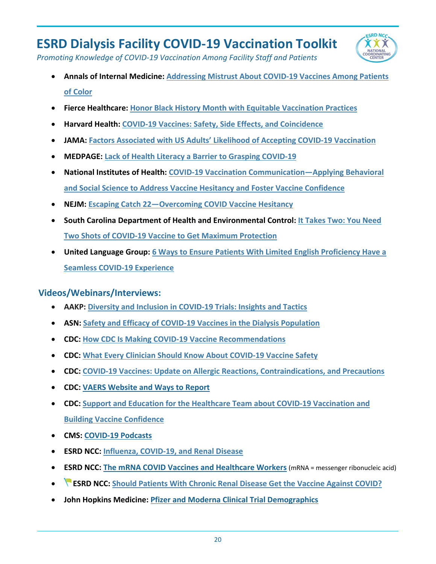

*Promoting Knowledge of COVID-19 Vaccination Among Facility Staff and Patients*

- **Annals of Internal Medicine: [Addressing Mistrust About COVID-19 Vaccines Among Patients](https://www.acpjournals.org/doi/10.7326/M21-0055)  [of Color](https://www.acpjournals.org/doi/10.7326/M21-0055)**
- **Fierce Healthcare: [Honor Black History Month with Equitable Vaccination Practices](https://www.fiercehealthcare.com/hospitals/industry-voices-honor-black-history-month-equitable-vaccination-practices)**
- **Harvard Health: [COVID-19 Vaccines: Safety, Side Effects, and Coincidence](https://www.health.harvard.edu/blog/covid-19-vaccines-safety-side-effects-and-coincidence-2021020821906)**
- **JAMA: [Factors Associated with US Adults' Likelihood of Accepting COVID-19 Vaccination](https://jamanetwork.com/journals/jamanetworkopen/fullarticle/2771872)**
- **MEDPAGE: [Lack of Health Literacy a Barrier to Grasping COVID-19](https://www.medpagetoday.com/infectiousdisease/covid19/87002)**
- **National Institutes of Health: [COVID-19 Vaccination Communication—Applying Behavioral](https://obssr.od.nih.gov/wp-content/uploads/2020/12/COVIDReport_Final.pdf)  [and Social Science to Address Vaccine Hesitancy and Foster Vaccine Confidence](https://obssr.od.nih.gov/wp-content/uploads/2020/12/COVIDReport_Final.pdf)**
- **NEJM: [Escaping Catch 22—Overcoming COVID Vaccine Hesitancy](https://www.nejm.org/doi/pdf/10.1056/NEJMms2101220)**
- **South Carolina Department of Health and Environmental Control: [It Takes Two: You Need](https://scdhec.gov/news-releases/it-takes-two-you-need-two-shots-covid-19-vaccine-get-maximum-protection)  [Two Shots of COVID-19 Vaccine to Get Maximum Protection](https://scdhec.gov/news-releases/it-takes-two-you-need-two-shots-covid-19-vaccine-get-maximum-protection)**
- **United Language Group: [6 Ways to Ensure Patients With Limited English Proficiency Have a](https://www.unitedlanguagegroup.com/blog/six-ways-to-ensure-patients-have-a-seamless-vaccine-experience)  [Seamless COVID-19 Experience](https://www.unitedlanguagegroup.com/blog/six-ways-to-ensure-patients-have-a-seamless-vaccine-experience)**

#### <span id="page-20-0"></span>**Videos/Webinars/Interviews:**

- **AAKP: [Diversity and Inclusion in COVID-19 Trials: Insights and Tactics](https://www.youtube.com/watch?app=desktop&v=J2H0kKAcjYE&list=PLsqCn2yDJM3OZxrsJ4TG3mYzbXlWH8MnN&index=25&t=10s)**
- **ASN: [Safety and Efficacy of COVID-19 Vaccines in the Dialysis Population](https://www.youtube.com/watch?v=Z8AaGVnD0GU&feature=youtu.be)**
- **CDC: [How CDC Is Making COVID-19 Vaccine Recommendations](https://youtu.be/6Wqk2CrMrh8)**
- **CDC: [What Every Clinician Should Know About COVID-19 Vaccine Safety](https://emergency.cdc.gov/coca/calls/2020/callinfo_121420.asp)**
- **CDC: COVID-19 Vaccines: Update on [Allergic Reactions, Contraindications, and Precautions](https://emergency.cdc.gov/coca/calls/2020/callinfo_123020.asp)**
- **CDC: [VAERS Website and Ways to Report](https://www.youtube.com/watch?v=sbCWhcQADFE&feature=youtu.be)**
- **CDC: [Support and Education for the Healthcare Team about COVID-19 Vaccination and](https://www.cdc.gov/vaccines/covid-19/health-systems-communication-toolkit.html#slides)  [Building Vaccine Confidence](https://www.cdc.gov/vaccines/covid-19/health-systems-communication-toolkit.html#slides)**
- **CMS: [COVID-19 Podcasts](https://www.cms.gov/Outreach-and-Education/Outreach/OpenDoorForums/PodcastAndTranscripts)**
- **ESRD NCC: [Influenza, COVID-19, and Renal Disease](https://www.youtube.com/watch?v=uxno562I2Tw)**
- **ESRD NCC: [The mRNA COVID Vaccines and Healthcare Workers](https://www.youtube.com/watch?v=lFcTmGSBr3g&feature=youtu.be)** (mRNA = messenger ribonucleic acid)
- **ESRD NCC: [Should Patients With Chronic Renal Disease Get the Vaccine Against COVID?](https://www.youtube.com/watch?v=SoMg1c30zmw)**
- **John Hopkins Medicine: [Pfizer and Moderna Clinical Trial Demographics](https://www.youtube.com/watch?app=desktop&v=UoOAvqjJYN0&feature=youtu.be)**